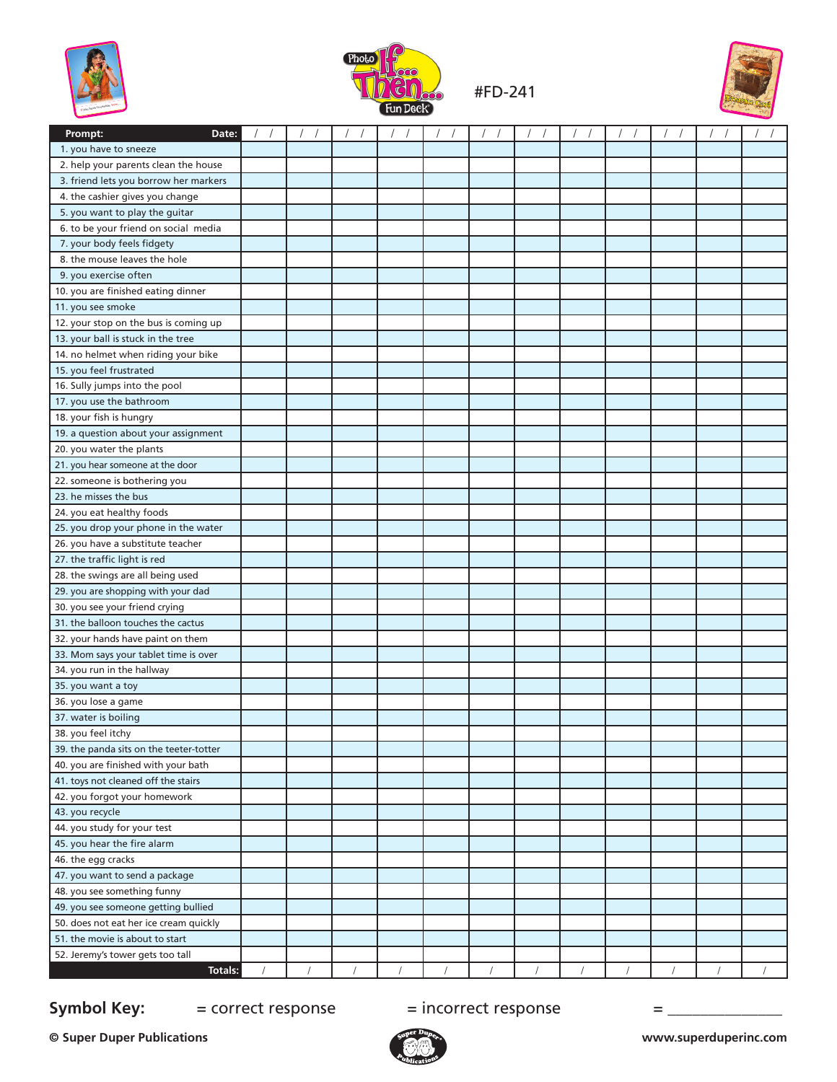



#FD-241



| Prompt:<br>Date:                        |  |  |  |  |  |  |
|-----------------------------------------|--|--|--|--|--|--|
| 1. you have to sneeze                   |  |  |  |  |  |  |
| 2. help your parents clean the house    |  |  |  |  |  |  |
| 3. friend lets you borrow her markers   |  |  |  |  |  |  |
| 4. the cashier gives you change         |  |  |  |  |  |  |
| 5. you want to play the guitar          |  |  |  |  |  |  |
| 6. to be your friend on social media    |  |  |  |  |  |  |
| 7. your body feels fidgety              |  |  |  |  |  |  |
| 8. the mouse leaves the hole            |  |  |  |  |  |  |
| 9. you exercise often                   |  |  |  |  |  |  |
| 10. you are finished eating dinner      |  |  |  |  |  |  |
| 11. you see smoke                       |  |  |  |  |  |  |
| 12. your stop on the bus is coming up   |  |  |  |  |  |  |
| 13. your ball is stuck in the tree      |  |  |  |  |  |  |
| 14. no helmet when riding your bike     |  |  |  |  |  |  |
| 15. you feel frustrated                 |  |  |  |  |  |  |
| 16. Sully jumps into the pool           |  |  |  |  |  |  |
| 17. you use the bathroom                |  |  |  |  |  |  |
| 18. your fish is hungry                 |  |  |  |  |  |  |
| 19. a question about your assignment    |  |  |  |  |  |  |
| 20. you water the plants                |  |  |  |  |  |  |
| 21. you hear someone at the door        |  |  |  |  |  |  |
| 22. someone is bothering you            |  |  |  |  |  |  |
| 23. he misses the bus                   |  |  |  |  |  |  |
| 24. you eat healthy foods               |  |  |  |  |  |  |
| 25. you drop your phone in the water    |  |  |  |  |  |  |
| 26. you have a substitute teacher       |  |  |  |  |  |  |
| 27. the traffic light is red            |  |  |  |  |  |  |
| 28. the swings are all being used       |  |  |  |  |  |  |
| 29. you are shopping with your dad      |  |  |  |  |  |  |
| 30. you see your friend crying          |  |  |  |  |  |  |
| 31. the balloon touches the cactus      |  |  |  |  |  |  |
| 32. your hands have paint on them       |  |  |  |  |  |  |
| 33. Mom says your tablet time is over   |  |  |  |  |  |  |
| 34. you run in the hallway              |  |  |  |  |  |  |
| 35. you want a toy                      |  |  |  |  |  |  |
| 36. you lose a game                     |  |  |  |  |  |  |
| 37. water is boiling                    |  |  |  |  |  |  |
| 38. you feel itchy                      |  |  |  |  |  |  |
| 39. the panda sits on the teeter-totter |  |  |  |  |  |  |
| 40. you are finished with your bath     |  |  |  |  |  |  |
| 41. toys not cleaned off the stairs     |  |  |  |  |  |  |
| 42. you forgot your homework            |  |  |  |  |  |  |
| 43. you recycle                         |  |  |  |  |  |  |
| 44. you study for your test             |  |  |  |  |  |  |
| 45. you hear the fire alarm             |  |  |  |  |  |  |
| 46. the egg cracks                      |  |  |  |  |  |  |
| 47. you want to send a package          |  |  |  |  |  |  |
| 48. you see something funny             |  |  |  |  |  |  |
| 49. you see someone getting bullied     |  |  |  |  |  |  |
| 50. does not eat her ice cream quickly  |  |  |  |  |  |  |
| 51. the movie is about to start         |  |  |  |  |  |  |
| 52. Jeremy's tower gets too tall        |  |  |  |  |  |  |
| Totals:                                 |  |  |  |  |  |  |

## **Symbol Key:**  $=$  correct response  $=$  incorrect response  $=$   $=$